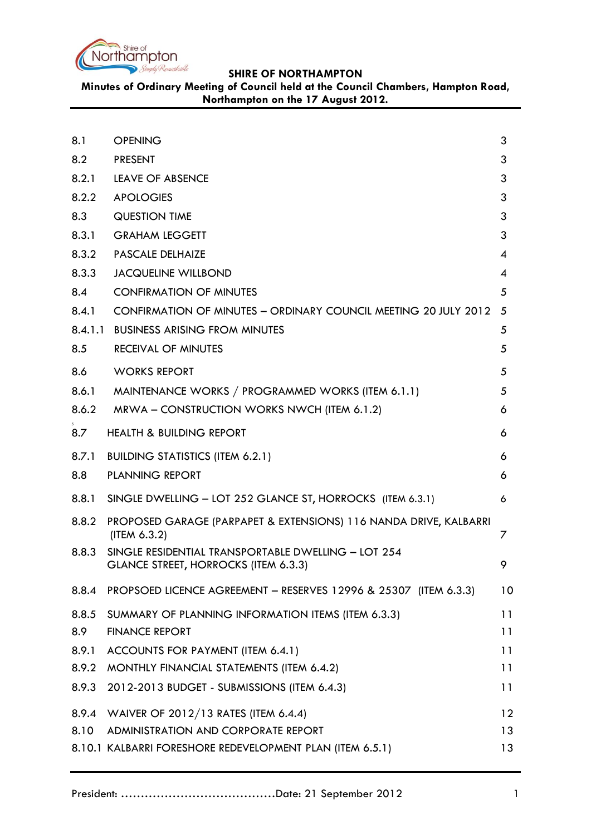

**Minutes of Ordinary Meeting of Council held at the Council Chambers, Hampton Road, Northampton on the 17 August 2012.**

<span id="page-0-0"></span>

| 8.1   | <b>OPENING</b>                                                                              | 3  |
|-------|---------------------------------------------------------------------------------------------|----|
| 8.2   | <b>PRESENT</b>                                                                              | 3  |
| 8.2.1 | <b>LEAVE OF ABSENCE</b>                                                                     | 3  |
| 8.2.2 | <b>APOLOGIES</b>                                                                            | 3  |
| 8.3   | <b>QUESTION TIME</b>                                                                        | 3  |
| 8.3.1 | <b>GRAHAM LEGGETT</b>                                                                       | 3  |
| 8.3.2 | <b>PASCALE DELHAIZE</b>                                                                     | 4  |
| 8.3.3 | <b>JACQUELINE WILLBOND</b>                                                                  | 4  |
| 8.4   | <b>CONFIRMATION OF MINUTES</b>                                                              | 5  |
| 8.4.1 | CONFIRMATION OF MINUTES - ORDINARY COUNCIL MEETING 20 JULY 2012                             | 5  |
|       | 8.4.1.1 BUSINESS ARISING FROM MINUTES                                                       | 5  |
| 8.5   | <b>RECEIVAL OF MINUTES</b>                                                                  | 5  |
| 8.6   | <b>WORKS REPORT</b>                                                                         | 5  |
| 8.6.1 | MAINTENANCE WORKS / PROGRAMMED WORKS (ITEM 6.1.1)                                           | 5  |
| 8.6.2 | MRWA – CONSTRUCTION WORKS NWCH (ITEM 6.1.2)                                                 | 6  |
| 8.7   | <b>HEALTH &amp; BUILDING REPORT</b>                                                         | 6  |
| 8.7.1 | <b>BUILDING STATISTICS (ITEM 6.2.1)</b>                                                     | 6  |
| 8.8   | <b>PLANNING REPORT</b>                                                                      | 6  |
| 8.8.1 | SINGLE DWELLING - LOT 252 GLANCE ST, HORROCKS (ITEM 6.3.1)                                  | 6  |
| 8.8.2 | PROPOSED GARAGE (PARPAPET & EXTENSIONS) 116 NANDA DRIVE, KALBARRI<br>(ITERA 6.3.2)          | 7  |
| 8.8.3 | SINGLE RESIDENTIAL TRANSPORTABLE DWELLING - LOT 254<br>GLANCE STREET, HORROCKS (ITEM 6.3.3) | 9  |
| 8.8.4 | PROPSOED LICENCE AGREEMENT - RESERVES 12996 & 25307 (ITEM 6.3.3)                            | 10 |
|       | 8.8.5 SUMMARY OF PLANNING INFORMATION ITEMS (ITEM 6.3.3)                                    | 11 |
| 8.9   | <b>FINANCE REPORT</b>                                                                       | 11 |
| 8.9.1 | ACCOUNTS FOR PAYMENT (ITEM 6.4.1)                                                           | 11 |
| 8.9.2 | MONTHLY FINANCIAL STATEMENTS (ITEM 6.4.2)                                                   | 11 |
|       | 8.9.3 2012-2013 BUDGET - SUBMISSIONS (ITEM 6.4.3)                                           | 11 |
|       | 8.9.4 WAIVER OF 2012/13 RATES (ITEM 6.4.4)                                                  | 12 |
| 8.10  | ADMINISTRATION AND CORPORATE REPORT                                                         | 13 |
|       | 8.10.1 KALBARRI FORESHORE REDEVELOPMENT PLAN (ITEM 6.5.1)                                   | 13 |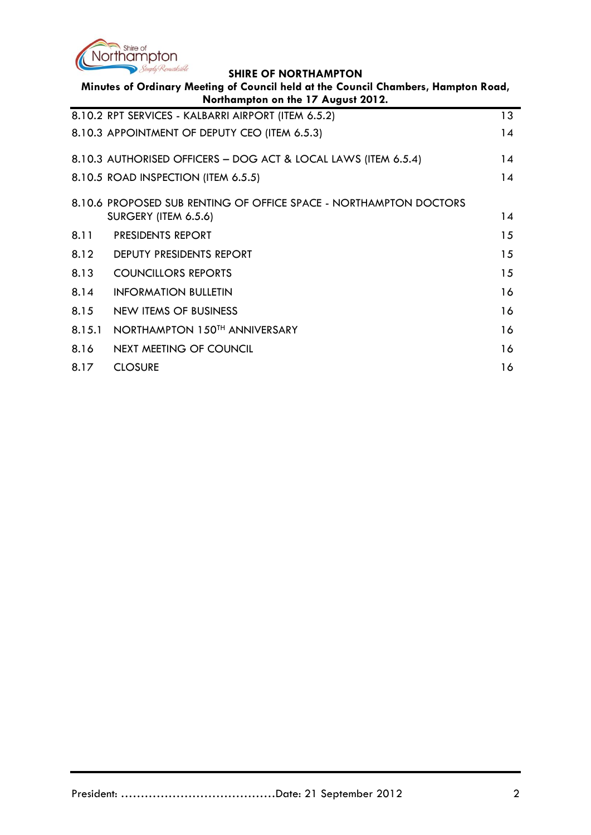

| Minutes of Ordinary Meeting of Council held at the Council Chambers, Hampton Road,<br>Northampton on the 17 August 2012. |                                                                   |                 |  |  |
|--------------------------------------------------------------------------------------------------------------------------|-------------------------------------------------------------------|-----------------|--|--|
|                                                                                                                          | 8.10.2 RPT SERVICES - KALBARRI AIRPORT (ITEM 6.5.2)               | 13 <sup>°</sup> |  |  |
|                                                                                                                          | 8.10.3 APPOINTMENT OF DEPUTY CEO (ITEM 6.5.3)                     | 14              |  |  |
|                                                                                                                          | 8.10.3 AUTHORISED OFFICERS - DOG ACT & LOCAL LAWS (ITEM 6.5.4)    | 14              |  |  |
|                                                                                                                          | 8.10.5 ROAD INSPECTION (ITEM 6.5.5)                               | 14              |  |  |
|                                                                                                                          | 8.10.6 PROPOSED SUB RENTING OF OFFICE SPACE - NORTHAMPTON DOCTORS |                 |  |  |
|                                                                                                                          | SURGERY (ITEM 6.5.6)                                              | 14              |  |  |
| 8.11                                                                                                                     | <b>PRESIDENTS REPORT</b>                                          | 15              |  |  |
| 8.12                                                                                                                     | DEPUTY PRESIDENTS REPORT                                          | 15              |  |  |
| 8.13                                                                                                                     | <b>COUNCILLORS REPORTS</b>                                        | 15              |  |  |
| 8.14                                                                                                                     | <b>INFORMATION BULLETIN</b>                                       | 16              |  |  |
| 8.15                                                                                                                     | NEW ITEMS OF BUSINESS                                             | 16              |  |  |
| 8.15.1                                                                                                                   | NORTHAMPTON 150TH ANNIVERSARY                                     | 16              |  |  |
| 8.16                                                                                                                     | <b>NEXT MEETING OF COUNCIL</b>                                    | 16              |  |  |
| 8.17                                                                                                                     | <b>CLOSURE</b>                                                    | 16              |  |  |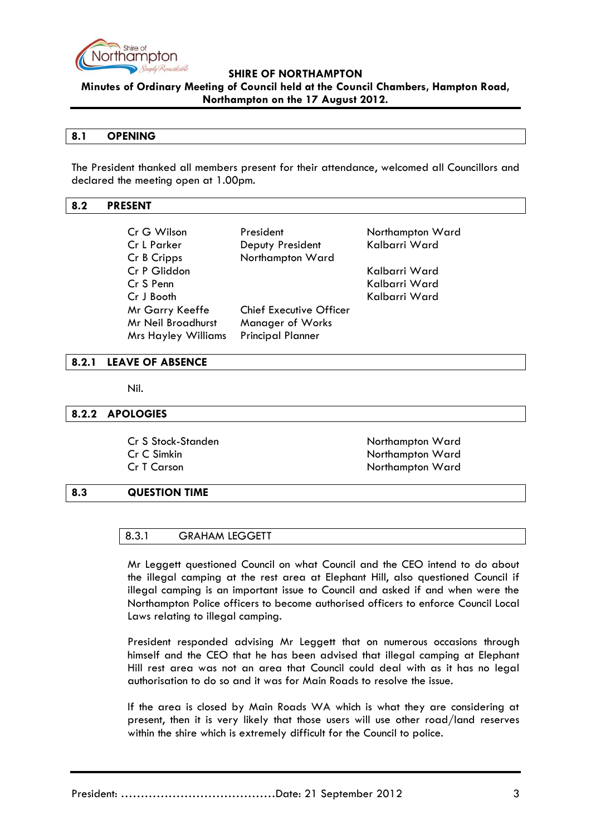

**Minutes of Ordinary Meeting of Council held at the Council Chambers, Hampton Road, Northampton on the 17 August 2012.**

### **8.1 OPENING**

The President thanked all members present for their attendance, welcomed all Councillors and declared the meeting open at 1.00pm.

### <span id="page-2-0"></span>**8.2 PRESENT**

| Cr G Wilson<br>Cr L Parker | President<br>Deputy President  | Northampton Ward<br>Kalbarri Ward |
|----------------------------|--------------------------------|-----------------------------------|
| Cr B Cripps                | Northampton Ward               |                                   |
| Cr P Gliddon               |                                | Kalbarri Ward                     |
| Cr S Penn                  |                                | Kalbarri Ward                     |
| Cr J Booth                 |                                | Kalbarri Ward                     |
| Mr Garry Keeffe            | <b>Chief Executive Officer</b> |                                   |
| Mr Neil Broadhurst         | Manager of Works               |                                   |
| <b>Mrs Hayley Williams</b> | <b>Principal Planner</b>       |                                   |

### <span id="page-2-1"></span>**8.2.1 LEAVE OF ABSENCE**

Nil.

### <span id="page-2-2"></span>**8.2.2 APOLOGIES**

Cr S Stock-Standen Northampton Ward Cr C Simkin Northampton Ward Cr T Carson Northampton Ward

### <span id="page-2-3"></span>**8.3 QUESTION TIME**

### 8.3.1 GRAHAM LEGGETT

Mr Leggett questioned Council on what Council and the CEO intend to do about the illegal camping at the rest area at Elephant Hill, also questioned Council if illegal camping is an important issue to Council and asked if and when were the Northampton Police officers to become authorised officers to enforce Council Local Laws relating to illegal camping.

President responded advising Mr Leggett that on numerous occasions through himself and the CEO that he has been advised that illegal camping at Elephant Hill rest area was not an area that Council could deal with as it has no legal authorisation to do so and it was for Main Roads to resolve the issue.

If the area is closed by Main Roads WA which is what they are considering at present, then it is very likely that those users will use other road/land reserves within the shire which is extremely difficult for the Council to police.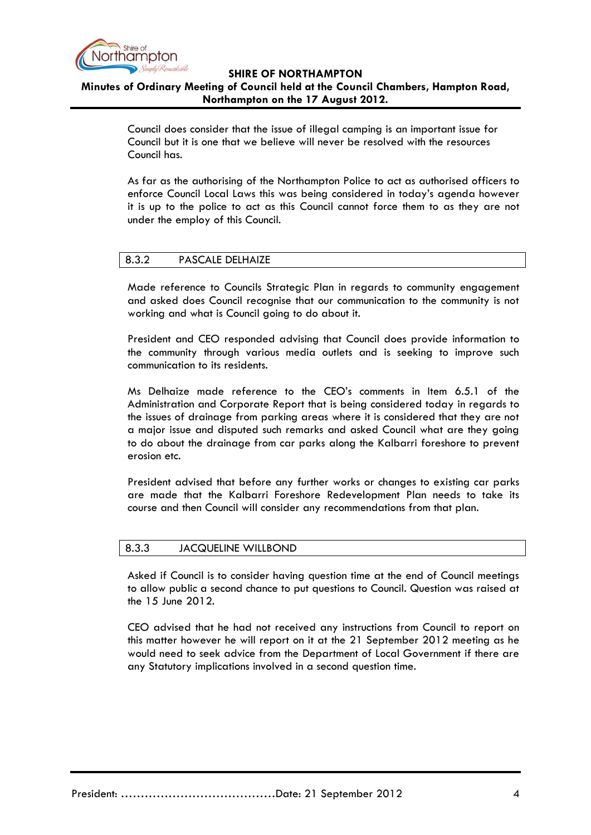

**Minutes of Ordinary Meeting of Council held at the Council Chambers, Hampton Road, Northampton on the 17 August 2012.**

> Council does consider that the issue of illegal camping is an important issue for Council but it is one that we believe will never be resolved with the resources Council has.

As far as the authorising of the Northampton Police to act as authorised officers to enforce Council Local Laws this was being considered in today's agenda however it is up to the police to act as this Council cannot force them to as they are not under the employ of this Council.

### 8.3.2 PASCALE DELHAIZE

Made reference to Councils Strategic Plan in regards to community engagement and asked does Council recognise that our communication to the community is not working and what is Council going to do about it.

President and CEO responded advising that Council does provide information to the community through various media outlets and is seeking to improve such communication to its residents.

Ms Delhaize made reference to the CEO's comments in Item 6.5.1 of the Administration and Corporate Report that is being considered today in regards to the issues of drainage from parking areas where it is considered that they are not a major issue and disputed such remarks and asked Council what are they going to do about the drainage from car parks along the Kalbarri foreshore to prevent erosion etc.

President advised that before any further works or changes to existing car parks are made that the Kalbarri Foreshore Redevelopment Plan needs to take its course and then Council will consider any recommendations from that plan.

### 8.3.3 JACQUELINE WILLBOND

Asked if Council is to consider having question time at the end of Council meetings to allow public a second chance to put questions to Council. Question was raised at the 15 June 2012.

CEO advised that he had not received any instructions from Council to report on this matter however he will report on it at the 21 September 2012 meeting as he would need to seek advice from the Department of Local Government if there are any Statutory implications involved in a second question time.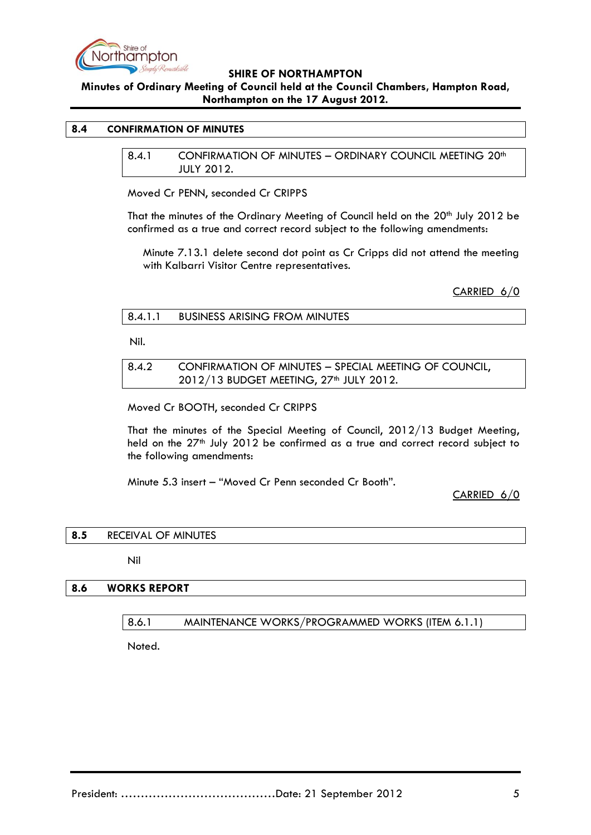

**Minutes of Ordinary Meeting of Council held at the Council Chambers, Hampton Road, Northampton on the 17 August 2012.**

### <span id="page-4-1"></span><span id="page-4-0"></span>**8.4 CONFIRMATION OF MINUTES**

8.4.1 CONFIRMATION OF MINUTES - ORDINARY COUNCIL MEETING 20<sup>th</sup> JULY 2012.

Moved Cr PENN, seconded Cr CRIPPS

That the minutes of the Ordinary Meeting of Council held on the 20<sup>th</sup> July 2012 be confirmed as a true and correct record subject to the following amendments:

Minute 7.13.1 delete second dot point as Cr Cripps did not attend the meeting with Kalbarri Visitor Centre representatives.

CARRIED 6/0

### 8.4.1.1 BUSINESS ARISING FROM MINUTES

Nil.

8.4.2 CONFIRMATION OF MINUTES – SPECIAL MEETING OF COUNCIL, 2012/13 BUDGET MEETING, 27<sup>th</sup> JULY 2012.

Moved Cr BOOTH, seconded Cr CRIPPS

That the minutes of the Special Meeting of Council, 2012/13 Budget Meeting, held on the 27<sup>th</sup> July 2012 be confirmed as a true and correct record subject to the following amendments:

Minute 5.3 insert – "Moved Cr Penn seconded Cr Booth".

CARRIED 6/0

### **8.5** RECEIVAL OF MINUTES

Nil

### **8.6 WORKS REPORT**

8.6.1 MAINTENANCE WORKS/PROGRAMMED WORKS (ITEM 6.1.1)

Noted.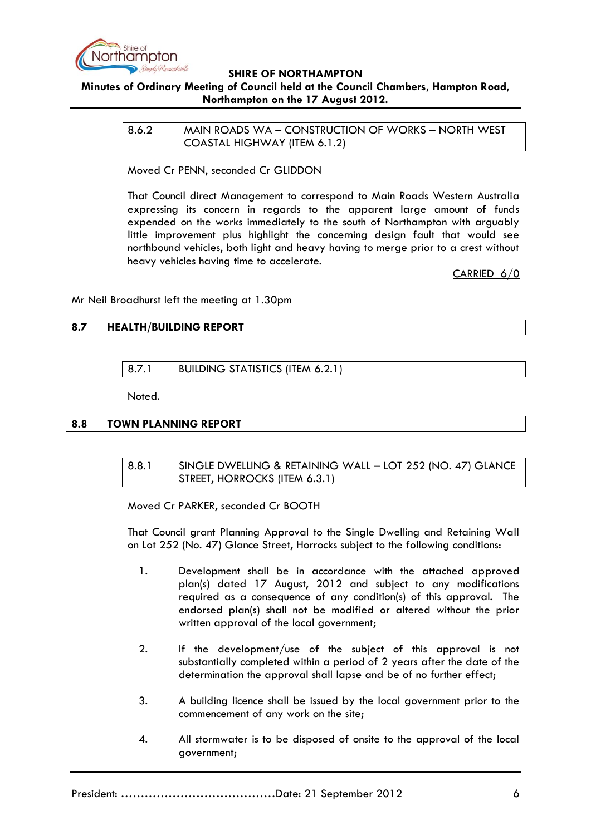

## **Minutes of Ordinary Meeting of Council held at the Council Chambers, Hampton Road, Northampton on the 17 August 2012.**

8.6.2 MAIN ROADS WA – CONSTRUCTION OF WORKS – NORTH WEST COASTAL HIGHWAY (ITEM 6.1.2)

Moved Cr PENN, seconded Cr GLIDDON

That Council direct Management to correspond to Main Roads Western Australia expressing its concern in regards to the apparent large amount of funds expended on the works immediately to the south of Northampton with arguably little improvement plus highlight the concerning design fault that would see northbound vehicles, both light and heavy having to merge prior to a crest without heavy vehicles having time to accelerate.

CARRIED 6/0

Mr Neil Broadhurst left the meeting at 1.30pm

# **8.7 HEALTH/BUILDING REPORT**

8.7.1 BUILDING STATISTICS (ITEM 6.2.1)

Noted.

### **8.8 TOWN PLANNING REPORT**

8.8.1 SINGLE DWELLING & RETAINING WALL – LOT 252 (NO. 47) GLANCE STREET, HORROCKS (ITEM 6.3.1)

Moved Cr PARKER, seconded Cr BOOTH

That Council grant Planning Approval to the Single Dwelling and Retaining Wall on Lot 252 (No. 47) Glance Street, Horrocks subject to the following conditions:

- 1. Development shall be in accordance with the attached approved plan(s) dated 17 August, 2012 and subject to any modifications required as a consequence of any condition(s) of this approval. The endorsed plan(s) shall not be modified or altered without the prior written approval of the local government;
- 2. If the development/use of the subject of this approval is not substantially completed within a period of 2 years after the date of the determination the approval shall lapse and be of no further effect;
- 3. A building licence shall be issued by the local government prior to the commencement of any work on the site;
- 4. All stormwater is to be disposed of onsite to the approval of the local government;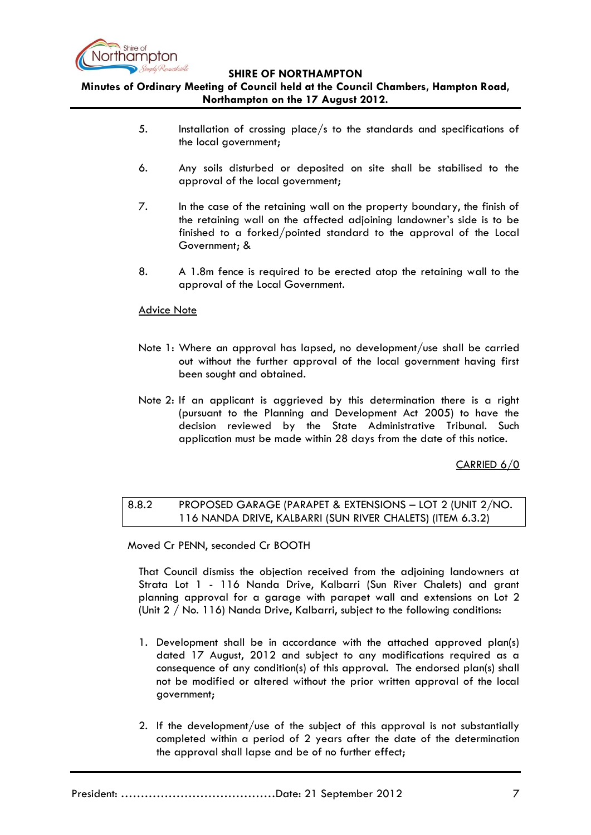

# **Minutes of Ordinary Meeting of Council held at the Council Chambers, Hampton Road, Northampton on the 17 August 2012.**

- 5. Installation of crossing place/s to the standards and specifications of the local government;
- 6. Any soils disturbed or deposited on site shall be stabilised to the approval of the local government;
- 7. In the case of the retaining wall on the property boundary, the finish of the retaining wall on the affected adjoining landowner's side is to be finished to a forked/pointed standard to the approval of the Local Government; &
- 8. A 1.8m fence is required to be erected atop the retaining wall to the approval of the Local Government.

## Advice Note

- Note 1: Where an approval has lapsed, no development/use shall be carried out without the further approval of the local government having first been sought and obtained.
- Note 2: If an applicant is aggrieved by this determination there is a right (pursuant to the Planning and Development Act 2005) to have the decision reviewed by the State Administrative Tribunal. Such application must be made within 28 days from the date of this notice.

CARRIED 6/0

## 8.8.2 PROPOSED GARAGE (PARAPET & EXTENSIONS – LOT 2 (UNIT 2/NO. 116 NANDA DRIVE, KALBARRI (SUN RIVER CHALETS) (ITEM 6.3.2)

Moved Cr PENN, seconded Cr BOOTH

That Council dismiss the objection received from the adjoining landowners at Strata Lot 1 - 116 Nanda Drive, Kalbarri (Sun River Chalets) and grant planning approval for a garage with parapet wall and extensions on Lot 2 (Unit 2 / No. 116) Nanda Drive, Kalbarri, subject to the following conditions:

- 1. Development shall be in accordance with the attached approved plan(s) dated 17 August, 2012 and subject to any modifications required as a consequence of any condition(s) of this approval. The endorsed plan(s) shall not be modified or altered without the prior written approval of the local government;
- 2. If the development/use of the subject of this approval is not substantially completed within a period of 2 years after the date of the determination the approval shall lapse and be of no further effect;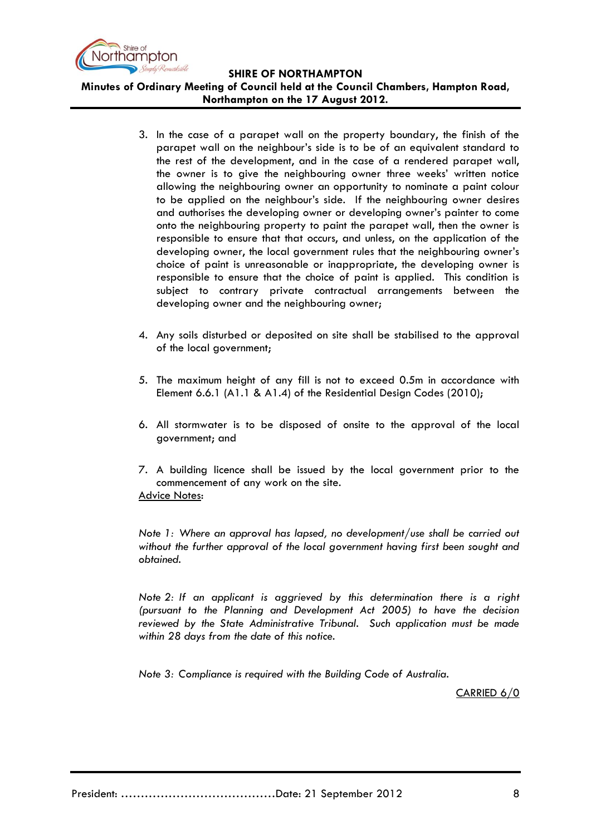

**SHIRE OF NORTHAMPTON Minutes of Ordinary Meeting of Council held at the Council Chambers, Hampton Road,** 

**Northampton on the 17 August 2012.**

- 3. In the case of a parapet wall on the property boundary, the finish of the parapet wall on the neighbour's side is to be of an equivalent standard to the rest of the development, and in the case of a rendered parapet wall, the owner is to give the neighbouring owner three weeks' written notice allowing the neighbouring owner an opportunity to nominate a paint colour to be applied on the neighbour's side. If the neighbouring owner desires and authorises the developing owner or developing owner's painter to come onto the neighbouring property to paint the parapet wall, then the owner is responsible to ensure that that occurs, and unless, on the application of the developing owner, the local government rules that the neighbouring owner's choice of paint is unreasonable or inappropriate, the developing owner is responsible to ensure that the choice of paint is applied. This condition is subject to contrary private contractual arrangements between the developing owner and the neighbouring owner;
- 4. Any soils disturbed or deposited on site shall be stabilised to the approval of the local government;
- 5. The maximum height of any fill is not to exceed 0.5m in accordance with Element 6.6.1 (A1.1 & A1.4) of the Residential Design Codes (2010);
- 6. All stormwater is to be disposed of onsite to the approval of the local government; and
- 7. A building licence shall be issued by the local government prior to the commencement of any work on the site. Advice Notes:

*Note 1: Where an approval has lapsed, no development/use shall be carried out without the further approval of the local government having first been sought and obtained.*

*Note 2: If an applicant is aggrieved by this determination there is a right (pursuant to the Planning and Development Act 2005) to have the decision reviewed by the State Administrative Tribunal. Such application must be made within 28 days from the date of this notice.*

*Note 3: Compliance is required with the Building Code of Australia.*

CARRIED 6/0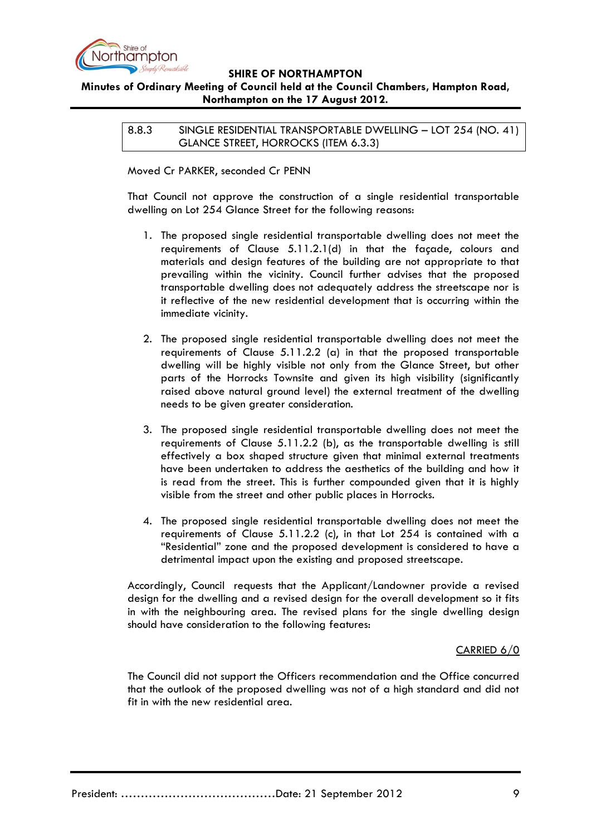

# **Minutes of Ordinary Meeting of Council held at the Council Chambers, Hampton Road, Northampton on the 17 August 2012.**

8.8.3 SINGLE RESIDENTIAL TRANSPORTABLE DWELLING – LOT 254 (NO. 41) GLANCE STREET, HORROCKS (ITEM 6.3.3)

Moved Cr PARKER, seconded Cr PENN

That Council not approve the construction of a single residential transportable dwelling on Lot 254 Glance Street for the following reasons:

- 1. The proposed single residential transportable dwelling does not meet the requirements of Clause 5.11.2.1(d) in that the façade, colours and materials and design features of the building are not appropriate to that prevailing within the vicinity. Council further advises that the proposed transportable dwelling does not adequately address the streetscape nor is it reflective of the new residential development that is occurring within the immediate vicinity.
- 2. The proposed single residential transportable dwelling does not meet the requirements of Clause 5.11.2.2 (a) in that the proposed transportable dwelling will be highly visible not only from the Glance Street, but other parts of the Horrocks Townsite and given its high visibility (significantly raised above natural ground level) the external treatment of the dwelling needs to be given greater consideration.
- 3. The proposed single residential transportable dwelling does not meet the requirements of Clause 5.11.2.2 (b), as the transportable dwelling is still effectively a box shaped structure given that minimal external treatments have been undertaken to address the aesthetics of the building and how it is read from the street. This is further compounded given that it is highly visible from the street and other public places in Horrocks.
- 4. The proposed single residential transportable dwelling does not meet the requirements of Clause 5.11.2.2 (c), in that Lot 254 is contained with a "Residential" zone and the proposed development is considered to have a detrimental impact upon the existing and proposed streetscape.

Accordingly, Council requests that the Applicant/Landowner provide a revised design for the dwelling and a revised design for the overall development so it fits in with the neighbouring area. The revised plans for the single dwelling design should have consideration to the following features:

# CARRIED 6/0

The Council did not support the Officers recommendation and the Office concurred that the outlook of the proposed dwelling was not of a high standard and did not fit in with the new residential area.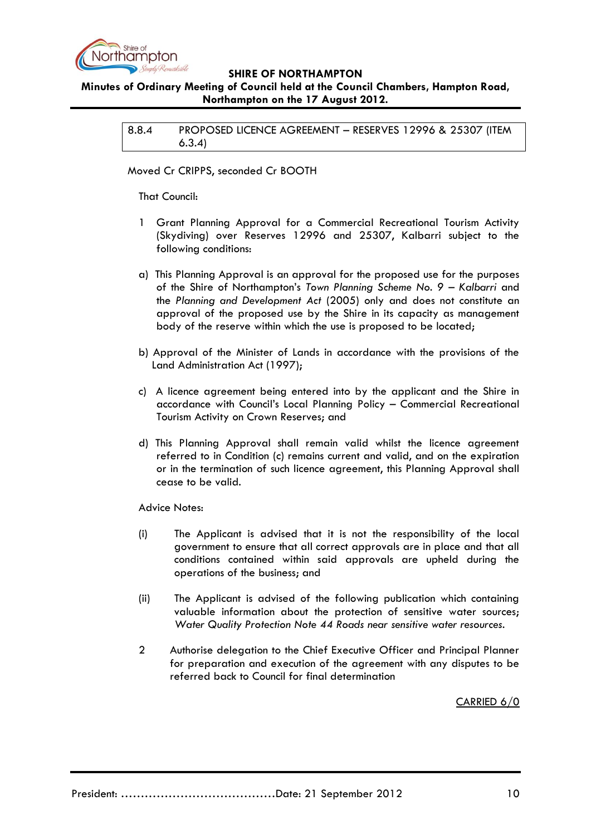

# **Minutes of Ordinary Meeting of Council held at the Council Chambers, Hampton Road, Northampton on the 17 August 2012.**

8.8.4 PROPOSED LICENCE AGREEMENT – RESERVES 12996 & 25307 (ITEM 6.3.4)

Moved Cr CRIPPS, seconded Cr BOOTH

That Council:

- 1 Grant Planning Approval for a Commercial Recreational Tourism Activity (Skydiving) over Reserves 12996 and 25307, Kalbarri subject to the following conditions:
- a) This Planning Approval is an approval for the proposed use for the purposes of the Shire of Northampton's *Town Planning Scheme No. 9 – Kalbarri* and the *Planning and Development Act* (2005) only and does not constitute an approval of the proposed use by the Shire in its capacity as management body of the reserve within which the use is proposed to be located;
- b) Approval of the Minister of Lands in accordance with the provisions of the Land Administration Act (1997);
- c) A licence agreement being entered into by the applicant and the Shire in accordance with Council's Local Planning Policy – Commercial Recreational Tourism Activity on Crown Reserves; and
- d) This Planning Approval shall remain valid whilst the licence agreement referred to in Condition (c) remains current and valid, and on the expiration or in the termination of such licence agreement, this Planning Approval shall cease to be valid.

Advice Notes:

- (i) The Applicant is advised that it is not the responsibility of the local government to ensure that all correct approvals are in place and that all conditions contained within said approvals are upheld during the operations of the business; and
- (ii) The Applicant is advised of the following publication which containing valuable information about the protection of sensitive water sources; *Water Quality Protection Note 44 Roads near sensitive water resources.*
- 2 Authorise delegation to the Chief Executive Officer and Principal Planner for preparation and execution of the agreement with any disputes to be referred back to Council for final determination

CARRIED 6/0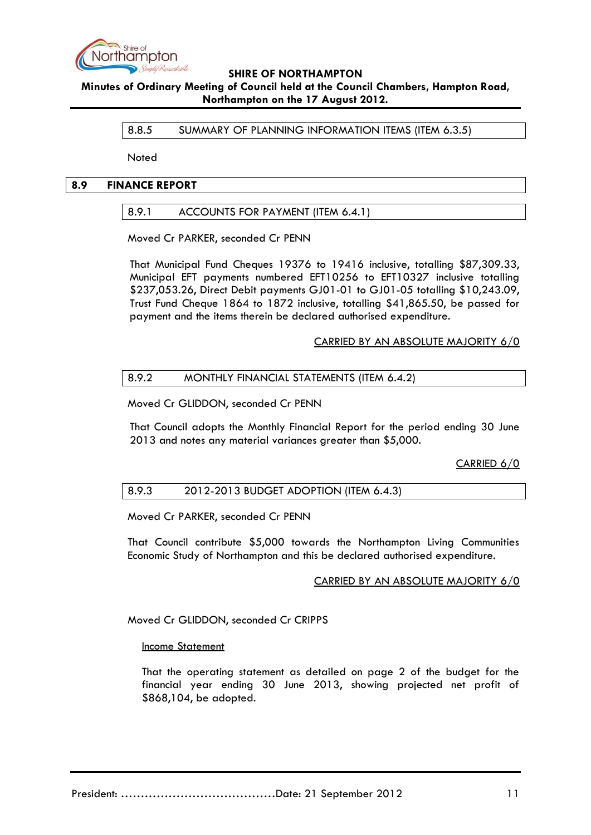

**Minutes of Ordinary Meeting of Council held at the Council Chambers, Hampton Road, Northampton on the 17 August 2012.**

8.8.5 SUMMARY OF PLANNING INFORMATION ITEMS (ITEM 6.3.5)

Noted

### **8.9 FINANCE REPORT**

## 8.9.1 ACCOUNTS FOR PAYMENT (ITEM 6.4.1)

Moved Cr PARKER, seconded Cr PENN

That Municipal Fund Cheques 19376 to 19416 inclusive, totalling \$87,309.33, Municipal EFT payments numbered EFT10256 to EFT10327 inclusive totalling \$237,053.26, Direct Debit payments GJ01-01 to GJ01-05 totalling \$10,243.09, Trust Fund Cheque 1864 to 1872 inclusive, totalling \$41,865.50, be passed for payment and the items therein be declared authorised expenditure.

## CARRIED BY AN ABSOLUTE MAJORITY 6/0

## 8.9.2 MONTHLY FINANCIAL STATEMENTS (ITEM 6.4.2)

Moved Cr GLIDDON, seconded Cr PENN

That Council adopts the Monthly Financial Report for the period ending 30 June 2013 and notes any material variances greater than \$5,000.

CARRIED 6/0

### 8.9.3 2012-2013 BUDGET ADOPTION (ITEM 6.4.3)

Moved Cr PARKER, seconded Cr PENN

That Council contribute \$5,000 towards the Northampton Living Communities Economic Study of Northampton and this be declared authorised expenditure.

### CARRIED BY AN ABSOLUTE MAJORITY 6/0

Moved Cr GLIDDON, seconded Cr CRIPPS

### Income Statement

That the operating statement as detailed on page 2 of the budget for the financial year ending 30 June 2013, showing projected net profit of \$868,104, be adopted.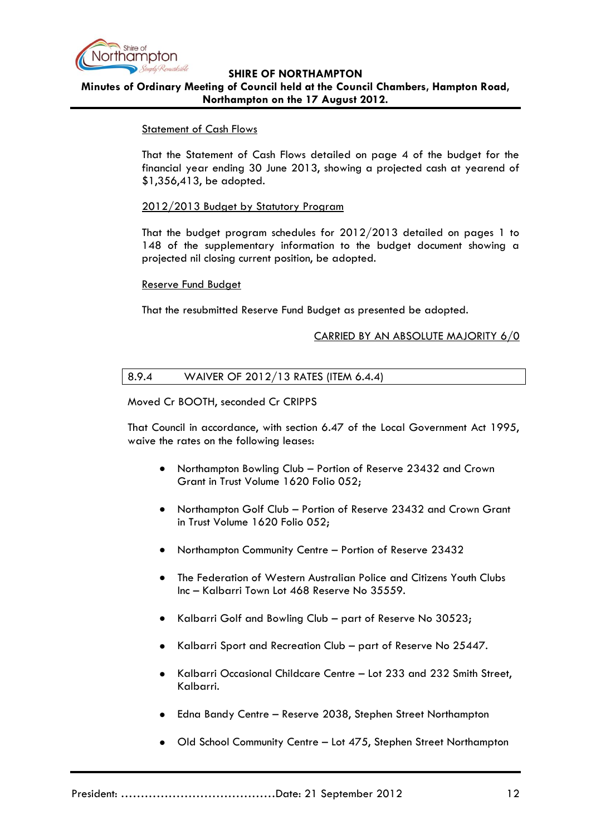

**Minutes of Ordinary Meeting of Council held at the Council Chambers, Hampton Road, Northampton on the 17 August 2012.**

## Statement of Cash Flows

That the Statement of Cash Flows detailed on page 4 of the budget for the financial year ending 30 June 2013, showing a projected cash at yearend of \$1,356,413, be adopted.

### 2012/2013 Budget by Statutory Program

That the budget program schedules for 2012/2013 detailed on pages 1 to 148 of the supplementary information to the budget document showing a projected nil closing current position, be adopted.

### Reserve Fund Budget

That the resubmitted Reserve Fund Budget as presented be adopted.

## CARRIED BY AN ABSOLUTE MAJORITY 6/0

## 8.9.4 WAIVER OF 2012/13 RATES (ITEM 6.4.4)

### Moved Cr BOOTH, seconded Cr CRIPPS

That Council in accordance, with section 6.47 of the Local Government Act 1995, waive the rates on the following leases:

- $\bullet$ Northampton Bowling Club – Portion of Reserve 23432 and Crown Grant in Trust Volume 1620 Folio 052;
- Northampton Golf Club Portion of Reserve 23432 and Crown Grant in Trust Volume 1620 Folio 052;
- Northampton Community Centre Portion of Reserve 23432
- The Federation of Western Australian Police and Citizens Youth Clubs Inc – Kalbarri Town Lot 468 Reserve No 35559.
- Kalbarri Golf and Bowling Club part of Reserve No 30523;
- Kalbarri Sport and Recreation Club part of Reserve No 25447.
- Kalbarri Occasional Childcare Centre Lot 233 and 232 Smith Street,  $\bullet$ Kalbarri.
- Edna Bandy Centre Reserve 2038, Stephen Street Northampton
- Old School Community Centre Lot 475, Stephen Street Northampton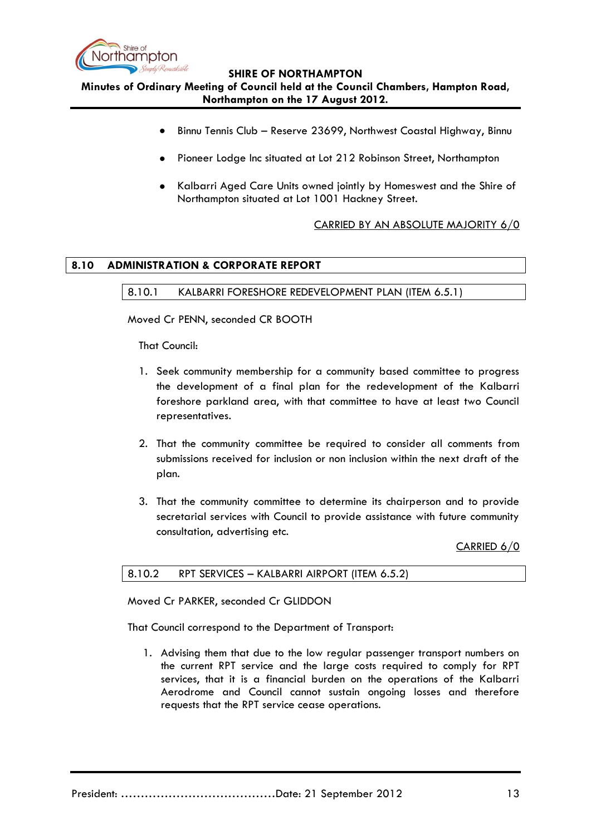

**SHIRE OF NORTHAMPTON Minutes of Ordinary Meeting of Council held at the Council Chambers, Hampton Road, Northampton on the 17 August 2012.**

- Binnu Tennis Club Reserve 23699, Northwest Coastal Highway, Binnu
- Pioneer Lodge Inc situated at Lot 212 Robinson Street, Northampton
- Kalbarri Aged Care Units owned jointly by Homeswest and the Shire of Northampton situated at Lot 1001 Hackney Street.

# CARRIED BY AN ABSOLUTE MAJORITY 6/0

# **8.10 ADMINISTRATION & CORPORATE REPORT**

# 8.10.1 KALBARRI FORESHORE REDEVELOPMENT PLAN (ITEM 6.5.1)

Moved Cr PENN, seconded CR BOOTH

That Council:

- 1. Seek community membership for a community based committee to progress the development of a final plan for the redevelopment of the Kalbarri foreshore parkland area, with that committee to have at least two Council representatives.
- 2. That the community committee be required to consider all comments from submissions received for inclusion or non inclusion within the next draft of the plan.
- 3. That the community committee to determine its chairperson and to provide secretarial services with Council to provide assistance with future community consultation, advertising etc.

CARRIED 6/0

| 8.10.2<br>RPT SERVICES – KALBARRI AIRPORT (ITEM 6.5.2) |  |
|--------------------------------------------------------|--|
|--------------------------------------------------------|--|

Moved Cr PARKER, seconded Cr GLIDDON

That Council correspond to the Department of Transport:

1. Advising them that due to the low regular passenger transport numbers on the current RPT service and the large costs required to comply for RPT services, that it is a financial burden on the operations of the Kalbarri Aerodrome and Council cannot sustain ongoing losses and therefore requests that the RPT service cease operations.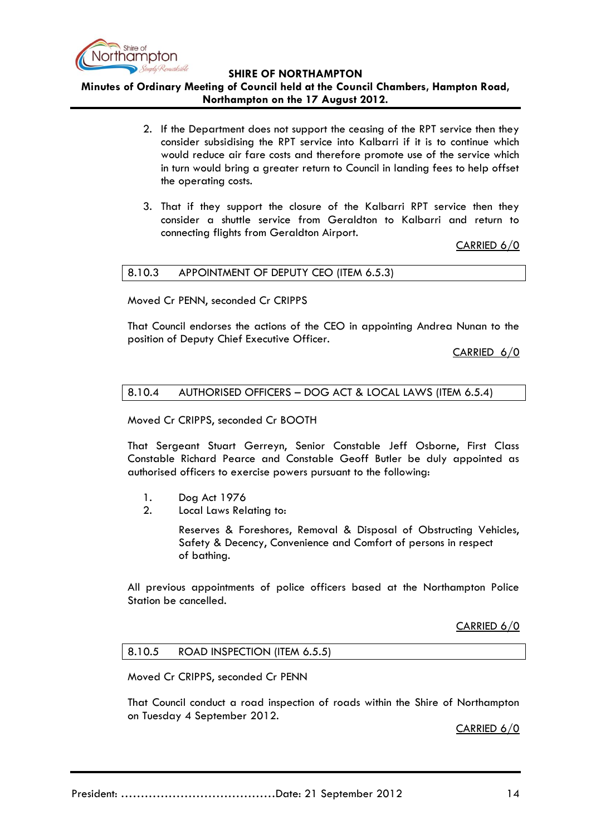

**Minutes of Ordinary Meeting of Council held at the Council Chambers, Hampton Road, Northampton on the 17 August 2012.**

- 2. If the Department does not support the ceasing of the RPT service then they consider subsidising the RPT service into Kalbarri if it is to continue which would reduce air fare costs and therefore promote use of the service which in turn would bring a greater return to Council in landing fees to help offset the operating costs.
- 3. That if they support the closure of the Kalbarri RPT service then they consider a shuttle service from Geraldton to Kalbarri and return to connecting flights from Geraldton Airport.

CARRIED 6/0

### 8.10.3 APPOINTMENT OF DEPUTY CEO (ITEM 6.5.3)

Moved Cr PENN, seconded Cr CRIPPS

That Council endorses the actions of the CEO in appointing Andrea Nunan to the position of Deputy Chief Executive Officer.

CARRIED 6/0

### 8.10.4 AUTHORISED OFFICERS – DOG ACT & LOCAL LAWS (ITEM 6.5.4)

Moved Cr CRIPPS, seconded Cr BOOTH

That Sergeant Stuart Gerreyn, Senior Constable Jeff Osborne, First Class Constable Richard Pearce and Constable Geoff Butler be duly appointed as authorised officers to exercise powers pursuant to the following:

- 1. Dog Act 1976
- 2. Local Laws Relating to:

Reserves & Foreshores, Removal & Disposal of Obstructing Vehicles, Safety & Decency, Convenience and Comfort of persons in respect of bathing.

All previous appointments of police officers based at the Northampton Police Station be cancelled.

CARRIED 6/0

### 8.10.5 ROAD INSPECTION (ITEM 6.5.5)

Moved Cr CRIPPS, seconded Cr PENN

That Council conduct a road inspection of roads within the Shire of Northampton on Tuesday 4 September 2012.

CARRIED 6/0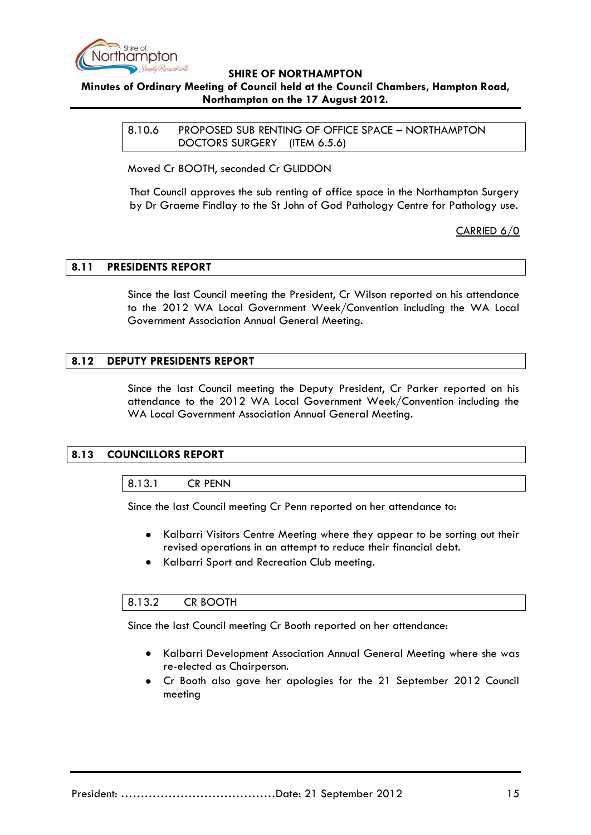

# **Minutes of Ordinary Meeting of Council held at the Council Chambers, Hampton Road, Northampton on the 17 August 2012.**

8.10.6 PROPOSED SUB RENTING OF OFFICE SPACE – NORTHAMPTON DOCTORS SURGERY (ITEM 6.5.6)

Moved Cr BOOTH, seconded Cr GLIDDON

That Council approves the sub renting of office space in the Northampton Surgery by Dr Graeme Findlay to the St John of God Pathology Centre for Pathology use.

CARRIED 6/0

## **8.11 PRESIDENTS REPORT**

Since the last Council meeting the President, Cr Wilson reported on his attendance to the 2012 WA Local Government Week/Convention including the WA Local Government Association Annual General Meeting.

## **8.12 DEPUTY PRESIDENTS REPORT**

Since the last Council meeting the Deputy President, Cr Parker reported on his attendance to the 2012 WA Local Government Week/Convention including the WA Local Government Association Annual General Meeting.

### **8.13 COUNCILLORS REPORT**

### 8.13.1 CR PENN

Since the last Council meeting Cr Penn reported on her attendance to:

- $\bullet$ Kalbarri Visitors Centre Meeting where they appear to be sorting out their revised operations in an attempt to reduce their financial debt.
- Kalbarri Sport and Recreation Club meeting.  $\bullet$

### 8.13.2 CR BOOTH

Since the last Council meeting Cr Booth reported on her attendance:

- Kalbarri Development Association Annual General Meeting where she was re-elected as Chairperson.
- Cr Booth also gave her apologies for the 21 September 2012 Council meeting